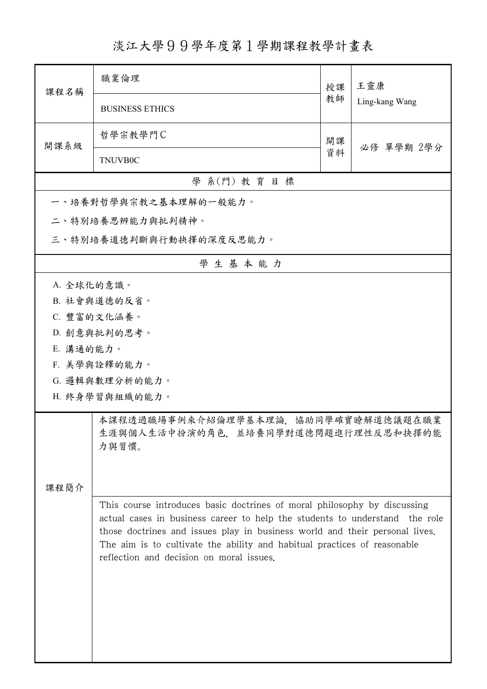## 淡江大學99學年度第1學期課程教學計畫表

| 課程名稱                                                                                        | 職業倫理                                                                                                                                                                                                                                                                                                               | 授課 | 王靈康<br>Ling-kang Wang |  |  |
|---------------------------------------------------------------------------------------------|--------------------------------------------------------------------------------------------------------------------------------------------------------------------------------------------------------------------------------------------------------------------------------------------------------------------|----|-----------------------|--|--|
|                                                                                             | <b>BUSINESS ETHICS</b>                                                                                                                                                                                                                                                                                             | 教師 |                       |  |  |
| 開課系級                                                                                        | 哲學宗教學門C                                                                                                                                                                                                                                                                                                            | 開課 |                       |  |  |
|                                                                                             | <b>TNUVB0C</b>                                                                                                                                                                                                                                                                                                     | 資料 | 必修 單學期 2學分            |  |  |
| 學 系(門) 教育目標                                                                                 |                                                                                                                                                                                                                                                                                                                    |    |                       |  |  |
| 一、培養對哲學與宗教之基本理解的一般能力。                                                                       |                                                                                                                                                                                                                                                                                                                    |    |                       |  |  |
|                                                                                             | 二、特別培養思辨能力與批判精神。                                                                                                                                                                                                                                                                                                   |    |                       |  |  |
| 三、特別培養道德判斷與行動抉擇的深度反思能力。                                                                     |                                                                                                                                                                                                                                                                                                                    |    |                       |  |  |
|                                                                                             | 學生基本能力                                                                                                                                                                                                                                                                                                             |    |                       |  |  |
| A. 全球化的意識。                                                                                  |                                                                                                                                                                                                                                                                                                                    |    |                       |  |  |
| B. 社會與道德的反省。                                                                                |                                                                                                                                                                                                                                                                                                                    |    |                       |  |  |
|                                                                                             | C. 豐富的文化涵養。                                                                                                                                                                                                                                                                                                        |    |                       |  |  |
| D. 創意與批判的思考。                                                                                |                                                                                                                                                                                                                                                                                                                    |    |                       |  |  |
| E. 溝通的能力。                                                                                   |                                                                                                                                                                                                                                                                                                                    |    |                       |  |  |
| F. 美學與詮釋的能力。                                                                                |                                                                                                                                                                                                                                                                                                                    |    |                       |  |  |
|                                                                                             | G. 邏輯與數理分析的能力。                                                                                                                                                                                                                                                                                                     |    |                       |  |  |
| H. 終身學習與組織的能力。                                                                              |                                                                                                                                                                                                                                                                                                                    |    |                       |  |  |
| 本課程透過職場事例來介紹倫理學基本理論,協助同學確實瞭解道德議題在職業<br>生涯與個人生活中扮演的角色,並培養同學對道德問題進行理性反思和抉擇的能<br>力與習慣。<br>課程簡介 |                                                                                                                                                                                                                                                                                                                    |    |                       |  |  |
|                                                                                             | This course introduces basic doctrines of moral philosophy by discussing<br>actual cases in business career to help the students to understand the role<br>those doctrines and issues play in business world and their personal lives.<br>The aim is to cultivate the ability and habitual practices of reasonable |    |                       |  |  |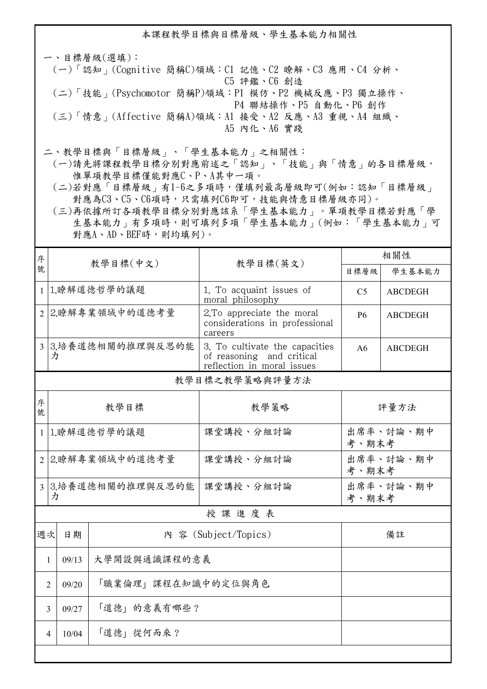本課程教學目標與目標層級、學生基本能力相關性

一、目標層級(選填): (一)「認知」(Cognitive 簡稱C)領域:C1 記憶、C2 瞭解、C3 應用、C4 分析、 C5 評鑑、C6 創造 (二)「技能」(Psychomotor 簡稱P)領域:P1 模仿、P2 機械反應、P3 獨立操作、 P4 聯結操作、P5 自動化、P6 創作 (三)「情意」(Affective 簡稱A)領域:A1 接受、A2 反應、A3 重視、A4 組織、 A5 內化、A6 實踐

二、教學目標與「目標層級」、「學生基本能力」之相關性:

 (一)請先將課程教學目標分別對應前述之「認知」、「技能」與「情意」的各目標層級, 惟單項教學目標僅能對應C、P、A其中一項。

 (二)若對應「目標層級」有1~6之多項時,僅填列最高層級即可(例如:認知「目標層級」 對應為C3、C5、C6項時,只需填列C6即可,技能與情意目標層級亦同)。

 (三)再依據所訂各項教學目標分別對應該系「學生基本能力」。單項教學目標若對應「學 生基本能力」有多項時,則可填列多項「學生基本能力」(例如:「學生基本能力」可 對應A、AD、BEF時,則均填列)。

| 序                       | 教學目標(中文)                         |               |                                                                                           | 相關性                              |                |  |
|-------------------------|----------------------------------|---------------|-------------------------------------------------------------------------------------------|----------------------------------|----------------|--|
| 號                       |                                  |               | 教學目標(英文)                                                                                  | 目標層級                             | 學生基本能力         |  |
|                         |                                  | 1 1.瞭解道德哲學的議題 | 1. To acquaint issues of<br>moral philosophy                                              | C <sub>5</sub><br><b>ABCDEGH</b> |                |  |
|                         | 2 2.瞭解專業領域中的道德考量                 |               | 2. To appreciate the moral<br>considerations in professional<br>careers                   | <b>P6</b>                        | <b>ABCDEGH</b> |  |
|                         | 3 3.培養道德相關的推理與反思的能<br>力          |               | 3. To cultivate the capacities<br>of reasoning and critical<br>reflection in moral issues | A6                               | <b>ABCDEGH</b> |  |
|                         | 教學目標之教學策略與評量方法                   |               |                                                                                           |                                  |                |  |
| 序<br>號                  | 教學目標                             |               | 教學策略                                                                                      | 評量方法                             |                |  |
| $\mathbf{1}$            | 1.瞭解道德哲學的議題                      |               | 課堂講授、分組討論                                                                                 | 出席率、討論、期中<br>考、期末考               |                |  |
|                         | 2 2.瞭解專業領域中的道德考量                 |               | 課堂講授、分組討論                                                                                 | 出席率、討論、期中<br>考、期末考               |                |  |
|                         | 3 3.培養道德相關的推理與反思的能<br>力          |               | 課堂講授、分組討論                                                                                 | 出席率、討論、期中<br>考、期末考               |                |  |
| 授課進度表                   |                                  |               |                                                                                           |                                  |                |  |
| 週次                      | 日期                               |               | 内 容 (Subject/Topics)                                                                      |                                  | 備註             |  |
|                         | 大學開設與通識課程的意義<br>09/13<br>1       |               |                                                                                           |                                  |                |  |
|                         | 「職業倫理」課程在知識中的定位與角色<br>09/20<br>2 |               |                                                                                           |                                  |                |  |
|                         | 09/27<br>3                       | 「道德」的意義有哪些?   |                                                                                           |                                  |                |  |
| 「道德」從何而來?<br>10/04<br>4 |                                  |               |                                                                                           |                                  |                |  |
|                         |                                  |               |                                                                                           |                                  |                |  |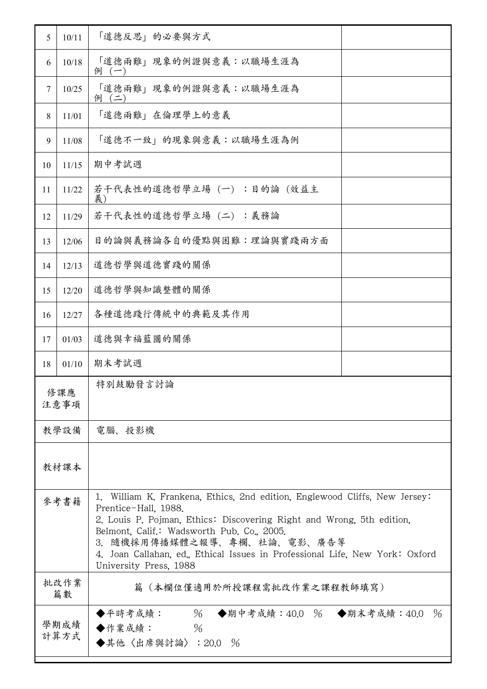| 5    | 10/11                                                                                       | 「道德反思」的必要與方式                                                                                                                                                                                                                                                                                                                                                       |               |  |
|------|---------------------------------------------------------------------------------------------|--------------------------------------------------------------------------------------------------------------------------------------------------------------------------------------------------------------------------------------------------------------------------------------------------------------------------------------------------------------------|---------------|--|
| 6    | 10/18                                                                                       | 「道德兩難」現象的例證與意義:以職場生涯為<br>例 (一)                                                                                                                                                                                                                                                                                                                                     |               |  |
| 7    | 10/25                                                                                       | 「道德兩難」現象的例證與意義:以職場生涯為<br>例 (二)                                                                                                                                                                                                                                                                                                                                     |               |  |
| 8    | 11/01                                                                                       | 「道德兩難」在倫理學上的意義                                                                                                                                                                                                                                                                                                                                                     |               |  |
| 9    | 11/08                                                                                       | 「道德不一致」的現象與意義:以職場生涯為例                                                                                                                                                                                                                                                                                                                                              |               |  |
| 10   | 11/15                                                                                       | 期中考試週                                                                                                                                                                                                                                                                                                                                                              |               |  |
| 11   | 11/22                                                                                       | 若干代表性的道德哲學立場(一):目的論(效益主<br>義)                                                                                                                                                                                                                                                                                                                                      |               |  |
| 12   | 11/29                                                                                       | 若干代表性的道德哲學立場(二):義務論                                                                                                                                                                                                                                                                                                                                                |               |  |
| 13   | 12/06                                                                                       | 目的論與義務論各自的優點與困難:理論與實踐兩方面                                                                                                                                                                                                                                                                                                                                           |               |  |
| 14   | 12/13                                                                                       | 道德哲學與道德實踐的關係                                                                                                                                                                                                                                                                                                                                                       |               |  |
| 15   | 12/20                                                                                       | 道德哲學與知識整體的關係                                                                                                                                                                                                                                                                                                                                                       |               |  |
| 16   | 12/27                                                                                       | 各種道德踐行傳統中的典範及其作用                                                                                                                                                                                                                                                                                                                                                   |               |  |
| 17   | 01/03                                                                                       | 道德與幸福藍圖的關係                                                                                                                                                                                                                                                                                                                                                         |               |  |
| 18   | 01/10                                                                                       | 期末考試週                                                                                                                                                                                                                                                                                                                                                              |               |  |
|      | 修課應<br>注意事項                                                                                 | 特別鼓勵發言討論                                                                                                                                                                                                                                                                                                                                                           |               |  |
| 教學設備 |                                                                                             | 電腦、投影機                                                                                                                                                                                                                                                                                                                                                             |               |  |
|      | 教材課本                                                                                        |                                                                                                                                                                                                                                                                                                                                                                    |               |  |
| 參考書籍 |                                                                                             | 1. William K. Frankena, Ethics, 2nd edition, Englewood Cliffs, New Jersey:<br>Prentice-Hall, 1988.<br>2. Louis P. Pojman, Ethics: Discovering Right and Wrong, 5th edition,<br>Belmont, Calif.: Wadsworth Pub. Co., 2005.<br>3. 隨機採用傳播媒體之報導、專欄、社論、電影、廣告等<br>4. Joan Callahan, ed., Ethical Issues in Professional Life, New York: Oxford<br>University Press, 1988 |               |  |
|      | 批改作業<br>篇數                                                                                  | 篇(本欄位僅適用於所授課程需批改作業之課程教師填寫)                                                                                                                                                                                                                                                                                                                                         |               |  |
|      | ◆平時考成績: % ◆期中考成績:40.0 % ◆期末考成績:40.0<br>學期成績<br>◆作業成績:<br>$\%$<br>計算方式<br>◆其他〈出席與討論〉: 20.0 % |                                                                                                                                                                                                                                                                                                                                                                    | $\frac{0}{6}$ |  |